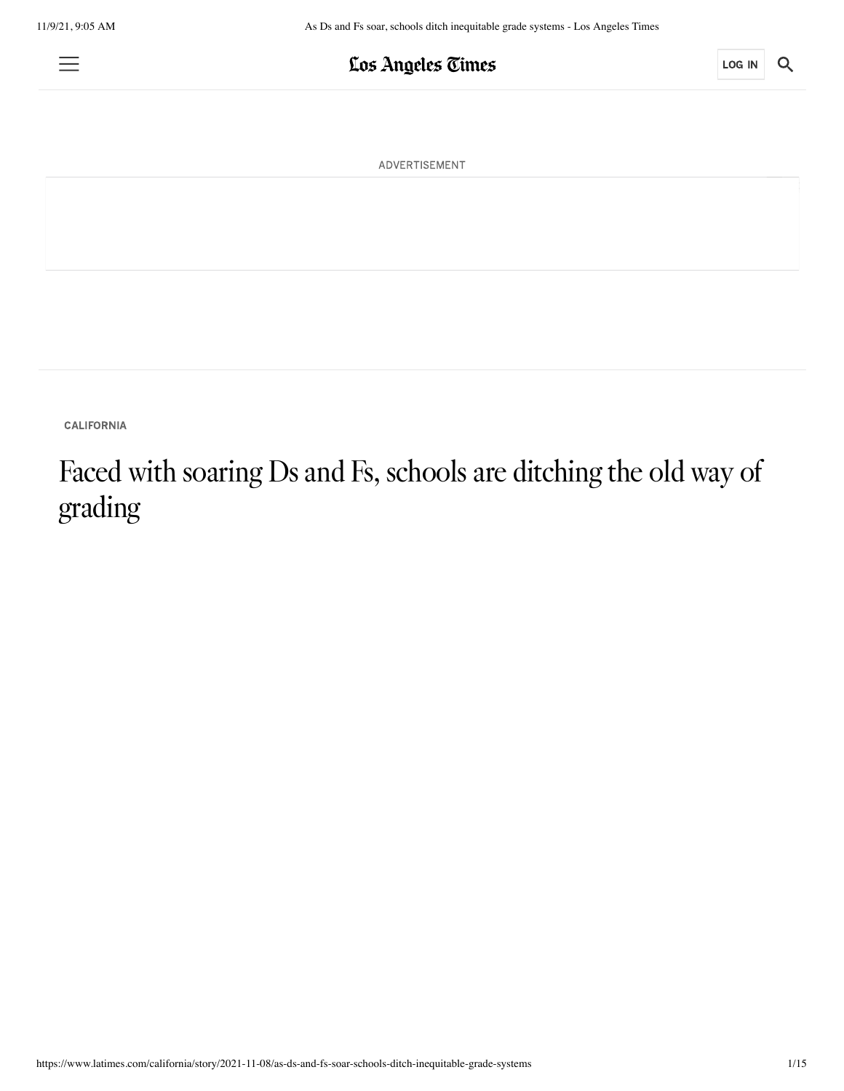$\equiv$ 

# Los Angeles Times

 $\alpha$ 

ADVERTISEMENT

[CALIFORNIA](https://www.latimes.com/california)

Faced with soaring Ds and Fs, schools are ditching the old way of grading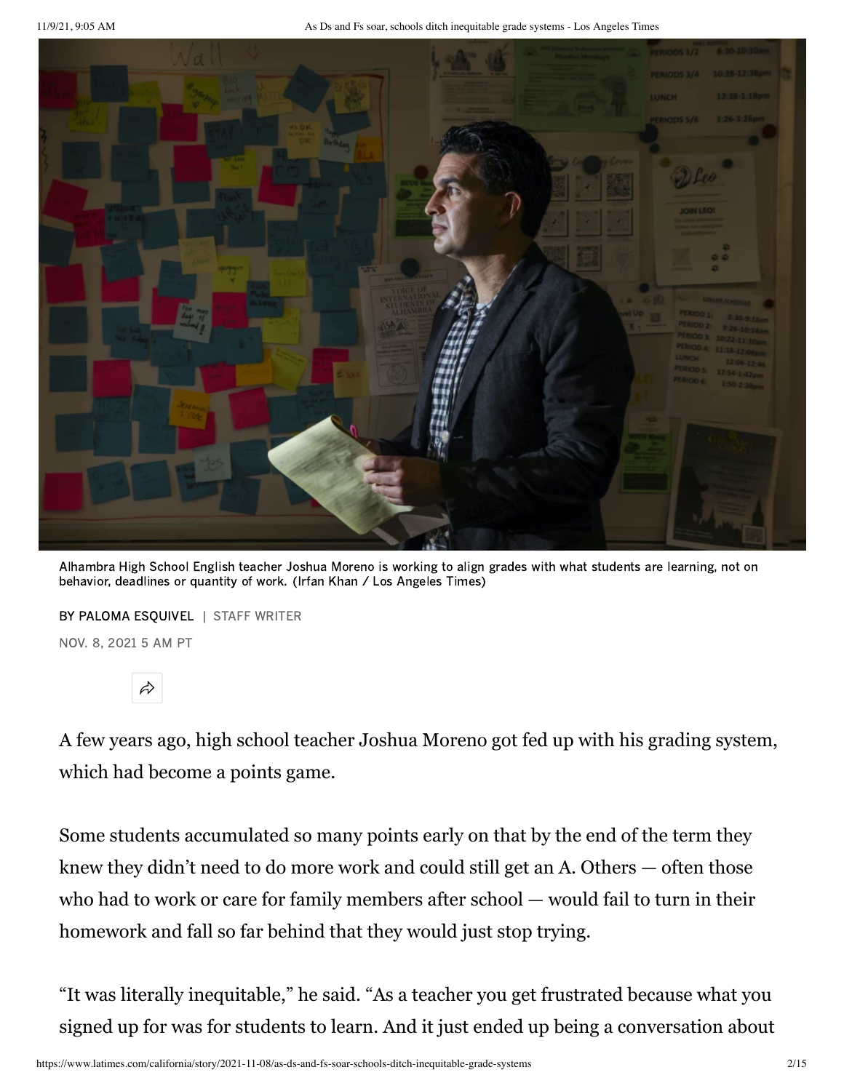

Alhambra High School English teacher Joshua Moreno is working to align grades with what students are learning, not on behavior, deadlines or quantity of work. (Irfan Khan / Los Angeles Times)

BY PALOMA [ESQUIVEL](https://www.latimes.com/people/paloma-esquivel) | STAFF WRITER

NOV. 8, 2021 5 AM PT



A few years ago, high school teacher Joshua Moreno got fed up with his grading system, which had become a points game.

Some students accumulated so many points early on that by the end of the term they knew they didn't need to do more work and could still get an A. Others — often those who had to work or care for family members after school — would fail to turn in their homework and fall so far behind that they would just stop trying.

"It was literally inequitable," he said. "As a teacher you get frustrated because what you signed up for was for students to learn. And it just ended up being a conversation about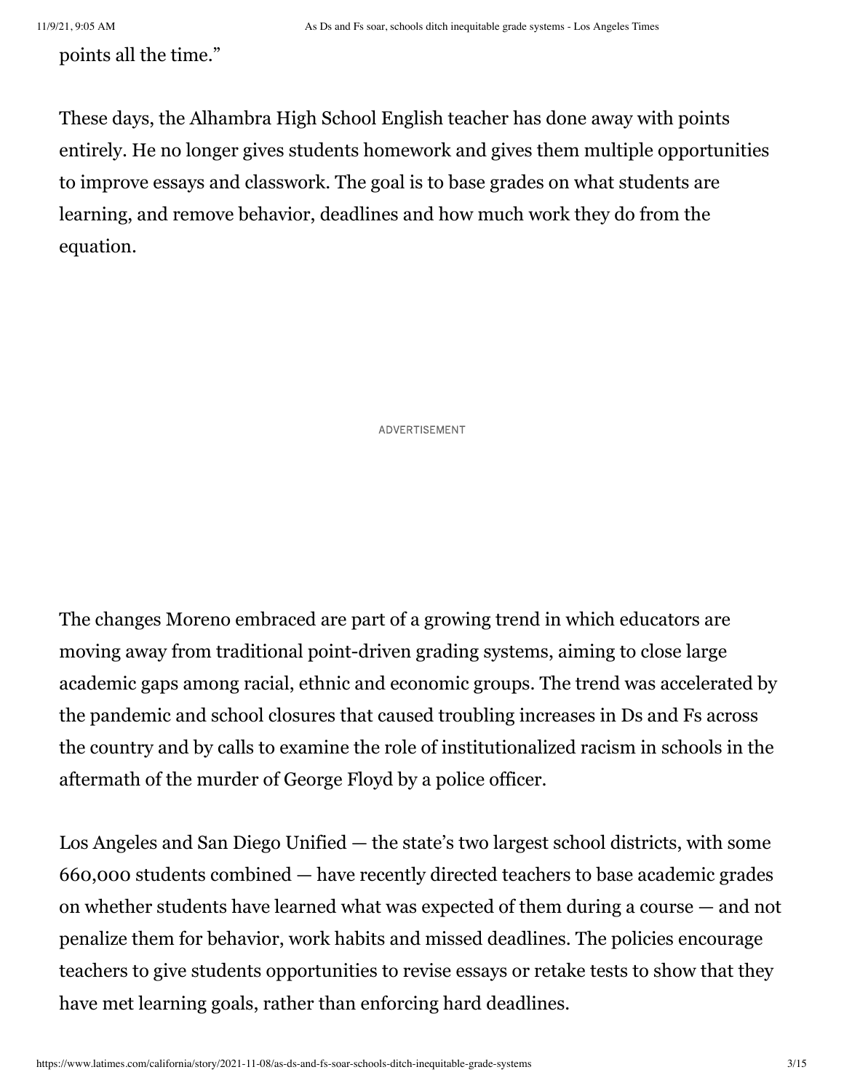points all the time."

These days, the Alhambra High School English teacher has done away with points entirely. He no longer gives students homework and gives them multiple opportunities to improve essays and classwork. The goal is to base grades on what students are learning, and remove behavior, deadlines and how much work they do from the equation.

#### ADVERTISEMENT

The changes Moreno embraced are part of a growing trend in which educators are moving away from traditional point-driven grading systems, aiming to close large academic gaps among racial, ethnic and economic groups. The trend was accelerated by the pandemic and school closures that caused troubling increases in Ds and Fs across the country and by calls to examine the role of institutionalized racism in schools in the aftermath of the murder of George Floyd by a police officer.

Los Angeles and San Diego Unified — the state's two largest school districts, with some 660,000 students combined — have recently directed teachers to base academic grades on whether students have learned what was expected of them during a course — and not penalize them for behavior, work habits and missed deadlines. The policies encourage teachers to give students opportunities to revise essays or retake tests to show that they have met learning goals, rather than enforcing hard deadlines.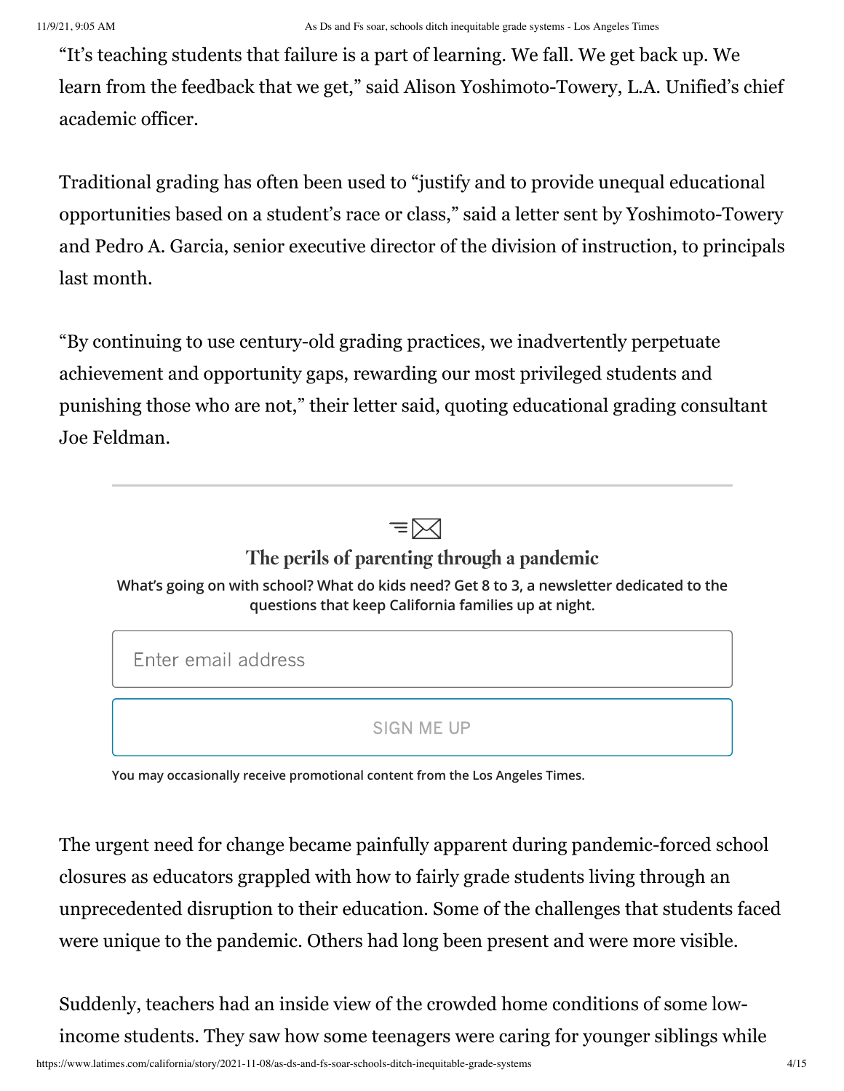"It's teaching students that failure is a part of learning. We fall. We get back up. We learn from the feedback that we get," said Alison Yoshimoto-Towery, L.A. Unified's chief academic officer.

Traditional grading has often been used to "justify and to provide unequal educational opportunities based on a student's race or class," said a letter sent by Yoshimoto-Towery and Pedro A. Garcia, senior executive director of the division of instruction, to principals last month.

"By continuing to use century-old grading practices, we inadvertently perpetuate achievement and opportunity gaps, rewarding our most privileged students and punishing those who are not," their letter said, quoting educational grading consultant Joe Feldman.



The perils of parenting through a pandemic

**What's going on with school? What do kids need? Get 8 to 3, a newsletter dedicated to the questions that keep California families up at night.**

SIGN ME UP

**You may occasionally receive promotional content from the Los Angeles Times.**

The urgent need for change became painfully apparent during pandemic-forced school closures as educators grappled with how to fairly grade students living through an unprecedented disruption to their education. Some of the challenges that students faced were unique to the pandemic. Others had long been present and were more visible. Enter email address<br>
SIGN ME UP<br>
You may occasionally receive promotional content from the Los Angeles Times.<br>
The urgent need for change became painfully apparent during pandemic-forced school<br>
closures as educators grapp

Suddenly, teachers had an inside view of the crowded home conditions of some low-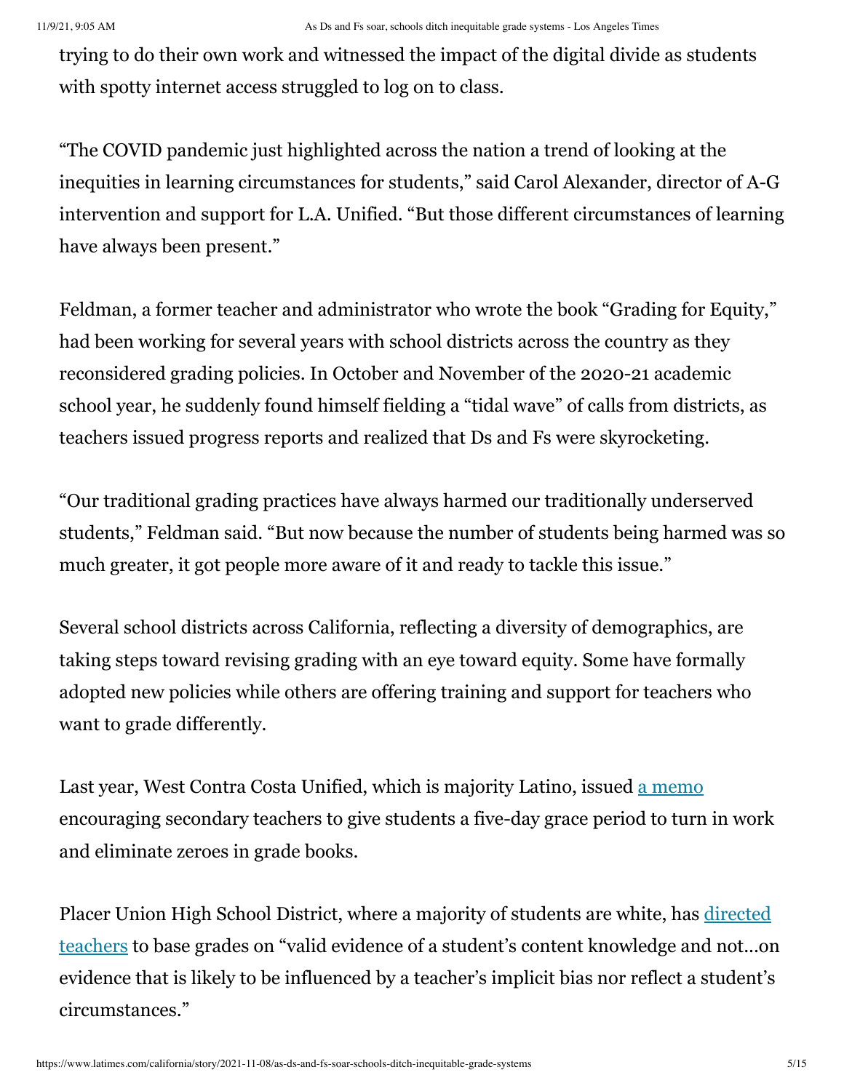trying to do their own work and witnessed the impact of the digital divide as students with spotty internet access struggled to log on to class.

"The COVID pandemic just highlighted across the nation a trend of looking at the inequities in learning circumstances for students," said Carol Alexander, director of A-G intervention and support for L.A. Unified. "But those different circumstances of learning have always been present."

Feldman, a former teacher and administrator who wrote the book "Grading for Equity," had been working for several years with school districts across the country as they reconsidered grading policies. In October and November of the 2020-21 academic school year, he suddenly found himself fielding a "tidal wave" of calls from districts, as teachers issued progress reports and realized that Ds and Fs were skyrocketing.

"Our traditional grading practices have always harmed our traditionally underserved students," Feldman said. "But now because the number of students being harmed was so much greater, it got people more aware of it and ready to tackle this issue."

Several school districts across California, reflecting a diversity of demographics, are taking steps toward revising grading with an eye toward equity. Some have formally adopted new policies while others are offering training and support for teachers who want to grade differently.

Last year, West Contra Costa Unified, which is majority Latino, issued [a memo](https://simbli.eboardsolutions.com/Meetings/Attachment.aspx?S=36030499&AID=61108&MID=3929) encouraging secondary teachers to give students a five-day grace period to turn in work and eliminate zeroes in grade books.

Placer Union High School District, where a majority of students are white, has directed [teachers to base grades on "valid evidence of a student's content knowledge and not...on](https://www.puhsd.k12.ca.us/departments/educational-services/accurate-and-equitable-grading-practices) evidence that is likely to be influenced by a teacher's implicit bias nor reflect a student's circumstances."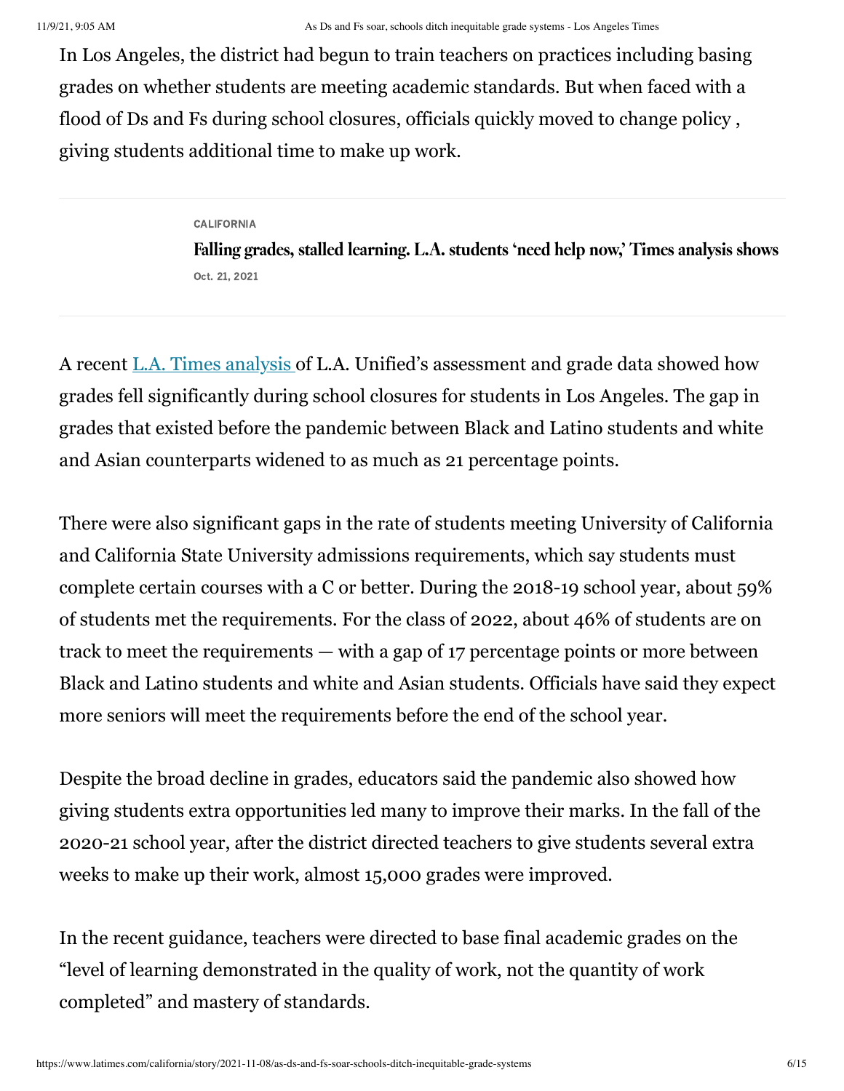In Los Angeles, the district had begun to train teachers on practices including basing grades on whether students are meeting academic standards. But when faced with a flood of Ds and Fs during school closures, officials quickly moved to change policy , giving students additional time to make up work.

# [CALIFORNIA](https://www.latimes.com/california)

Falling grades, stalled [learning.](https://www.latimes.com/california/story/2021-10-21/covid-era-learning-challenges-lausd-after-school-closures) L.A. students 'need help now,' Times analysis shows Oct. 21, 2021

A recent [L.A. Times analysis o](https://www.latimes.com/california/story/2021-10-21/covid-era-learning-challenges-lausd-after-school-closures)f L.A. Unified's assessment and grade data showed how grades fell significantly during school closures for students in Los Angeles. The gap in grades that existed before the pandemic between Black and Latino students and white and Asian counterparts widened to as much as 21 percentage points.

There were also significant gaps in the rate of students meeting University of California and California State University admissions requirements, which say students must complete certain courses with a C or better. During the 2018-19 school year, about 59% of students met the requirements. For the class of 2022, about 46% of students are on track to meet the requirements — with a gap of 17 percentage points or more between Black and Latino students and white and Asian students. Officials have said they expect more seniors will meet the requirements before the end of the school year.

Despite the broad decline in grades, educators said the pandemic also showed how giving students extra opportunities led many to improve their marks. In the fall of the 2020-21 school year, after the district directed teachers to give students several extra weeks to make up their work, almost 15,000 grades were improved.

In the recent guidance, teachers were directed to base final academic grades on the "level of learning demonstrated in the quality of work, not the quantity of work completed" and mastery of standards.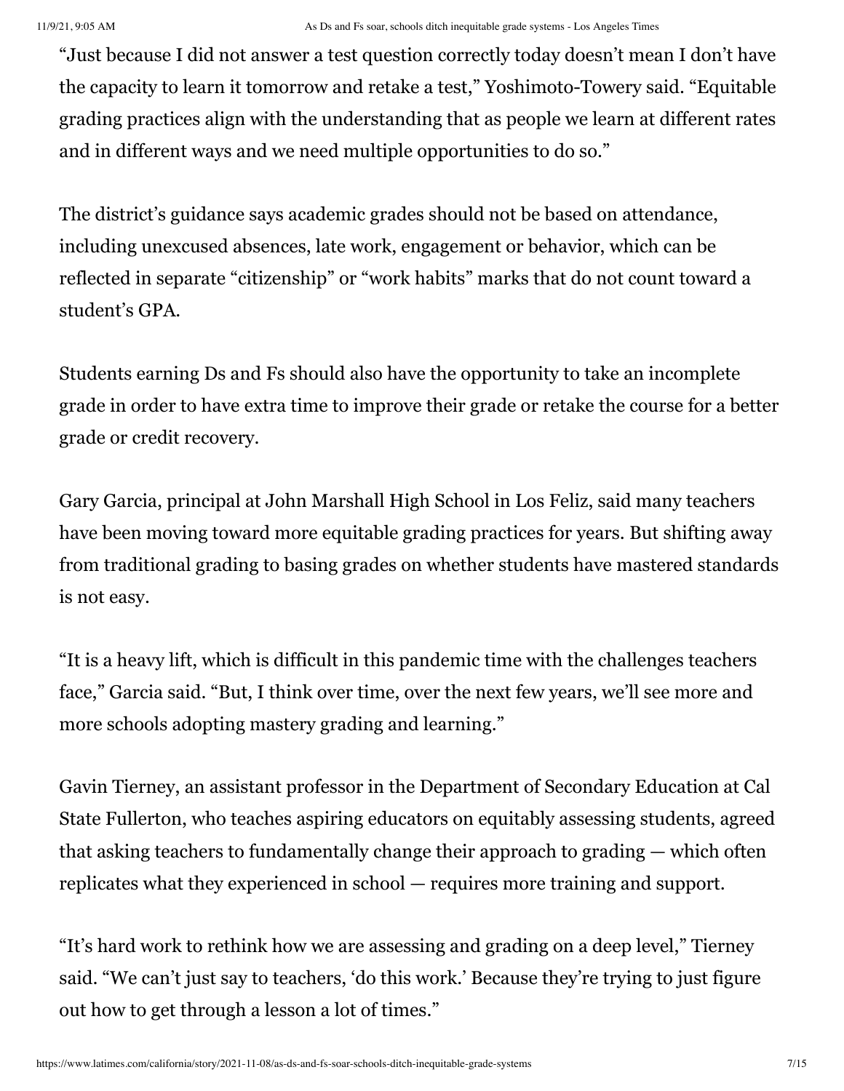"Just because I did not answer a test question correctly today doesn't mean I don't have the capacity to learn it tomorrow and retake a test," Yoshimoto-Towery said. "Equitable grading practices align with the understanding that as people we learn at different rates and in different ways and we need multiple opportunities to do so."

The district's guidance says academic grades should not be based on attendance, including unexcused absences, late work, engagement or behavior, which can be reflected in separate "citizenship" or "work habits" marks that do not count toward a student's GPA.

Students earning Ds and Fs should also have the opportunity to take an incomplete grade in order to have extra time to improve their grade or retake the course for a better grade or credit recovery.

Gary Garcia, principal at John Marshall High School in Los Feliz, said many teachers have been moving toward more equitable grading practices for years. But shifting away from traditional grading to basing grades on whether students have mastered standards is not easy.

"It is a heavy lift, which is difficult in this pandemic time with the challenges teachers face," Garcia said. "But, I think over time, over the next few years, we'll see more and more schools adopting mastery grading and learning."

Gavin Tierney, an assistant professor in the Department of Secondary Education at Cal State Fullerton, who teaches aspiring educators on equitably assessing students, agreed that asking teachers to fundamentally change their approach to grading — which often replicates what they experienced in school — requires more training and support.

"It's hard work to rethink how we are assessing and grading on a deep level," Tierney said. "We can't just say to teachers, 'do this work.' Because they're trying to just figure out how to get through a lesson a lot of times."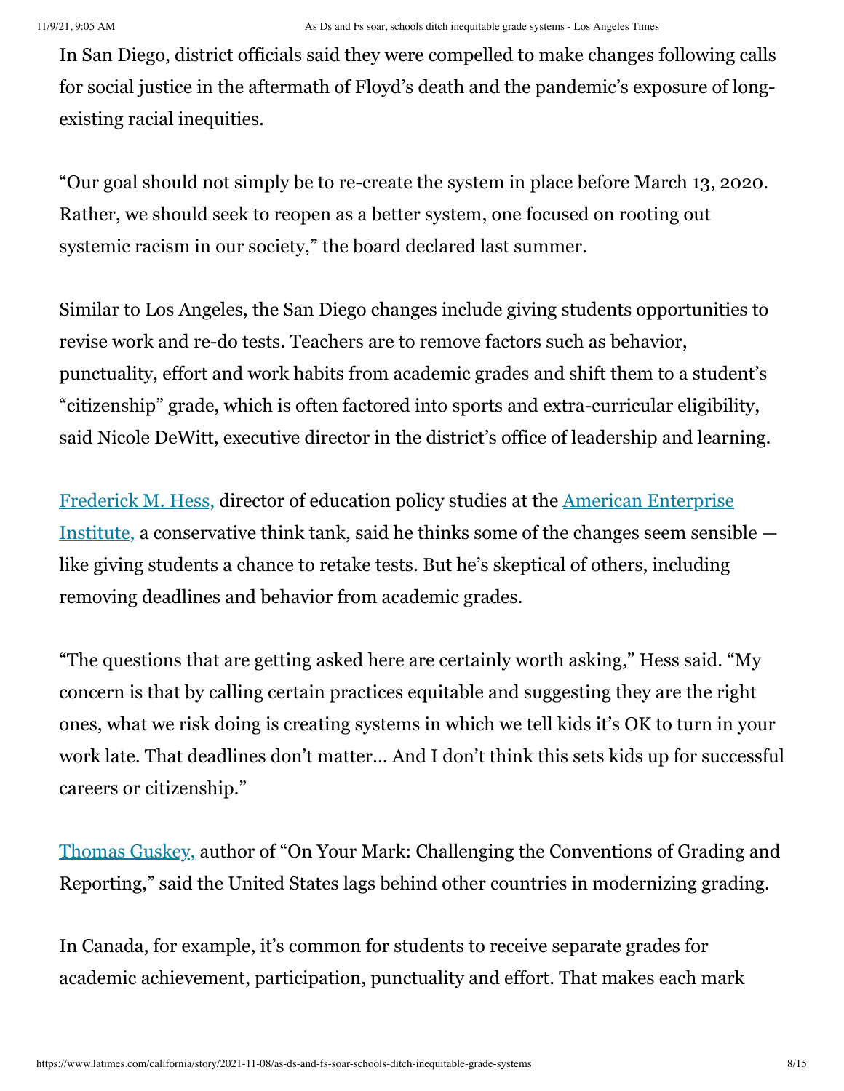In San Diego, district officials said they were compelled to make changes following calls for social justice in the aftermath of Floyd's death and the pandemic's exposure of longexisting racial inequities.

"Our goal should not simply be to re-create the system in place before March 13, 2020. Rather, we should seek to reopen as a better system, one focused on rooting out systemic racism in our society," the board declared last summer.

Similar to Los Angeles, the San Diego changes include giving students opportunities to revise work and re-do tests. Teachers are to remove factors such as behavior, punctuality, effort and work habits from academic grades and shift them to a student's "citizenship" grade, which is often factored into sports and extra-curricular eligibility, said Nicole DeWitt, executive director in the district's office of leadership and learning.

[Frederick M. Hess,](https://www.aei.org/profile/frederick-m-hess/) [director of education policy studies at the American Enterprise](https://www.aei.org/) Institute, a conservative think tank, said he thinks some of the changes seem sensible like giving students a chance to retake tests. But he's skeptical of others, including removing deadlines and behavior from academic grades.

"The questions that are getting asked here are certainly worth asking," Hess said. "My concern is that by calling certain practices equitable and suggesting they are the right ones, what we risk doing is creating systems in which we tell kids it's OK to turn in your work late. That deadlines don't matter... And I don't think this sets kids up for successful careers or citizenship."

[Thomas Guskey,](https://tguskey.com/) author of "On Your Mark: Challenging the Conventions of Grading and Reporting," said the United States lags behind other countries in modernizing grading.

In Canada, for example, it's common for students to receive separate grades for academic achievement, participation, punctuality and effort. That makes each mark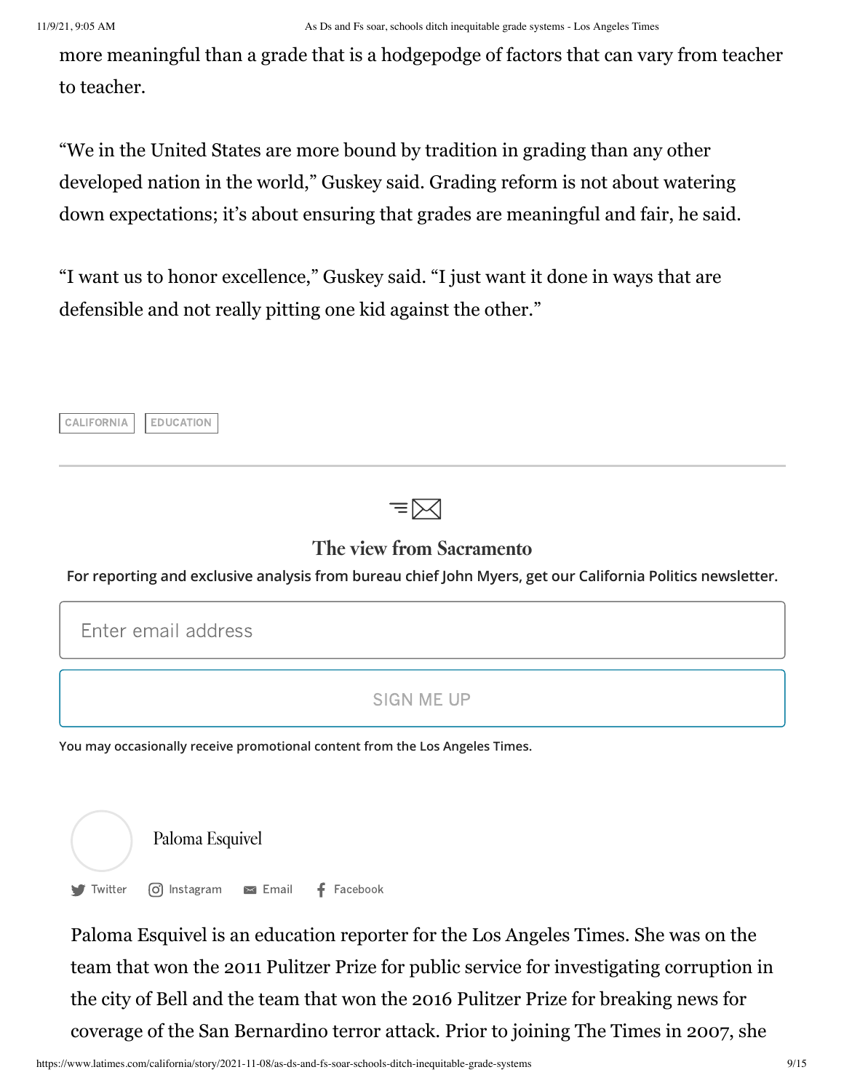more meaningful than a grade that is a hodgepodge of factors that can vary from teacher to teacher.

"We in the United States are more bound by tradition in grading than any other developed nation in the world," Guskey said. Grading reform is not about watering down expectations; it's about ensuring that grades are meaningful and fair, he said.

"I want us to honor excellence," Guskey said. "I just want it done in ways that are defensible and not really pitting one kid against the other."





# The view from Sacramento

**For reporting and exclusive analysis from bureau chief John Myers, get our California Politics newsletter.**

**You may occasionally receive promotional content from the Los Angeles Times.** SIGN ME UP<br>
SIGN ME UP<br>
Du may occasionally receive promotional content from the Los Angeles Times.<br>
Paloma Esquivel<br>
Paloma Esquivel is an education reporter for the Los Angeles Times. She was on the<br>
team that won the 20 SIGN ME UP

Paloma [Esquivel](https://www.latimes.com/people/paloma-esquivel) [Twitter](https://twitter.com/palomaesquivel)  $\boxed{0}$  [Instagram](https://www.instagram.com/latimes/)  $\boxed{\times}$  [Email](mailto:paloma.esquivel@latimes.com)  $\boxed{f}$  [Facebook](https://www.facebook.com/latimes)

Paloma Esquivel is an education reporter for the Los Angeles Times. She was on the team that won the 2011 Pulitzer Prize for public service for investigating corruption in the city of Bell and the team that won the 2016 Pulitzer Prize for breaking news for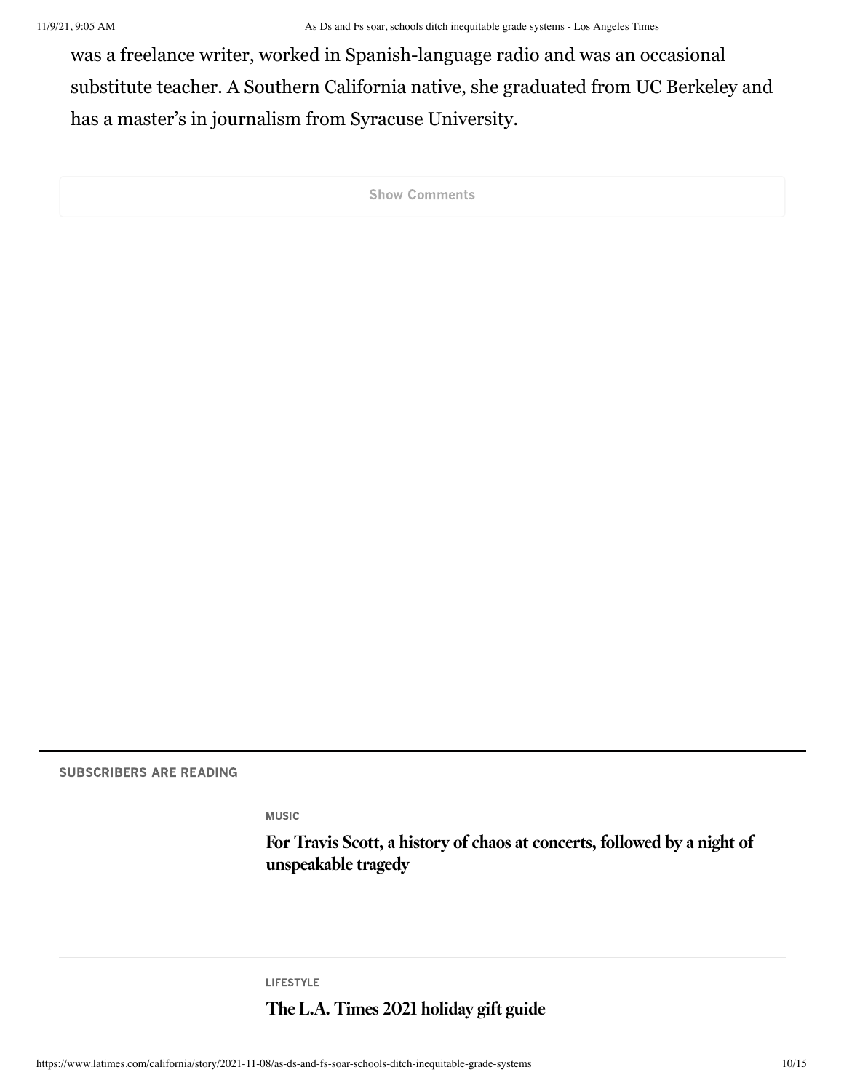was a freelance writer, worked in Spanish-language radio and was an occasional substitute teacher. A Southern California native, she graduated from UC Berkeley and has a master's in journalism from Syracuse University.

Show Comments

SUBSCRIBERS ARE READING

[MUSIC](https://www.latimes.com/entertainment-arts/music)

For Travis Scott, a history of chaos at concerts, followed by a night of [unspeakable](https://www.latimes.com/entertainment-arts/music/story/2021-11-07/astroworld-travis-scott-festival-concert-history) tragedy

[LIFESTYLE](https://www.latimes.com/lifestyle)

The L.A. Times 2021 [holiday](https://www.latimes.com/lifestyle/story/2021-11-04/la-times-2021-holiday-gift-guide) gift guide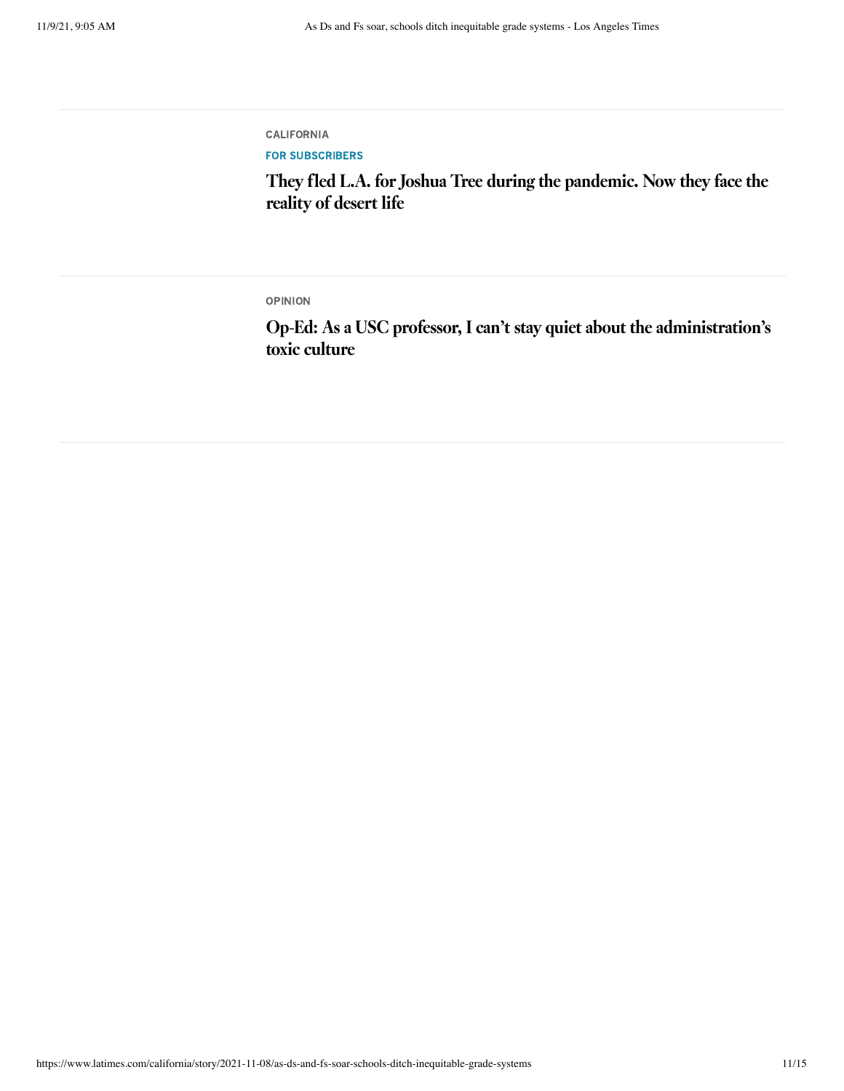[CALIFORNIA](https://www.latimes.com/california)

FOR [SUBSCRIBERS](https://www.latimes.com/topic/for-la-times-subscribers)

They fled L.A. for Joshua Tree during the [pandemic.](https://www.latimes.com/california/story/2021-10-14/pros-cons-covid-pandemic-california-desert-life) Now they face the reality of desert life

[OPINION](https://www.latimes.com/opinion)

Op-Ed: As a USC professor, I can't stay quiet about the [administration's](https://www.latimes.com/opinion/story/2021-11-03/uscs-administrative-culture-is-still-rotten-from-the-top-we-faculty-wont-keep-quiet) toxic culture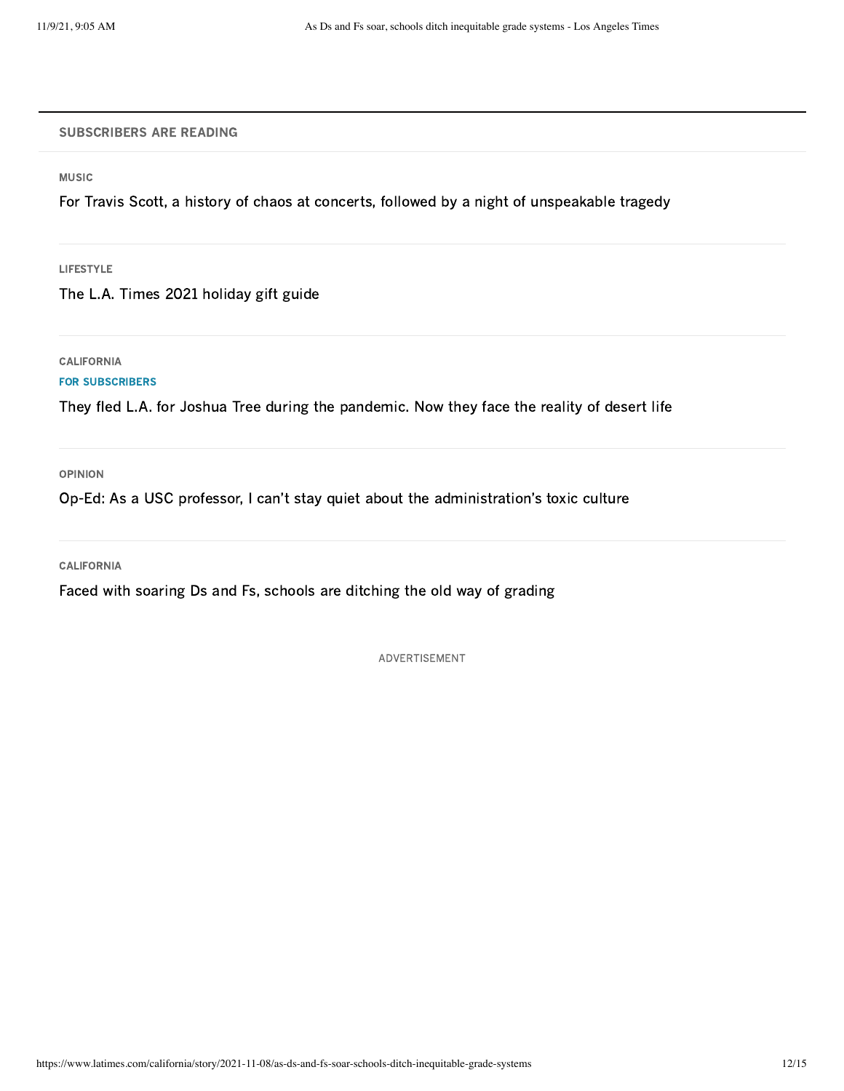# SUBSCRIBERS ARE READING

[MUSIC](https://www.latimes.com/entertainment-arts/music)

For Travis Scott, a history of chaos at concerts, followed by a night of [unspeakable](https://www.latimes.com/entertainment-arts/music/story/2021-11-07/astroworld-travis-scott-festival-concert-history) tragedy

[LIFESTYLE](https://www.latimes.com/lifestyle)

The L.A. [Times 2021](https://www.latimes.com/lifestyle/story/2021-11-04/la-times-2021-holiday-gift-guide) holiday gift guide

[CALIFORNIA](https://www.latimes.com/california)

## FOR [SUBSCRIBERS](https://www.latimes.com/topic/for-la-times-subscribers)

They fled L.A. for Joshua Tree during the [pandemic.](https://www.latimes.com/california/story/2021-10-14/pros-cons-covid-pandemic-california-desert-life) Now they face the reality of desert life

[OPINION](https://www.latimes.com/opinion)

Op-Ed: As a USC professor, I can't stay quiet about the [administration's toxic](https://www.latimes.com/opinion/story/2021-11-03/uscs-administrative-culture-is-still-rotten-from-the-top-we-faculty-wont-keep-quiet) culture

[CALIFORNIA](https://www.latimes.com/california)

Faced with soaring Ds and Fs, [schools are](https://www.latimes.com/california/story/2021-11-08/as-ds-and-fs-soar-schools-ditch-inequitable-grade-systems) ditching the old way of grading

ADVERTISEMENT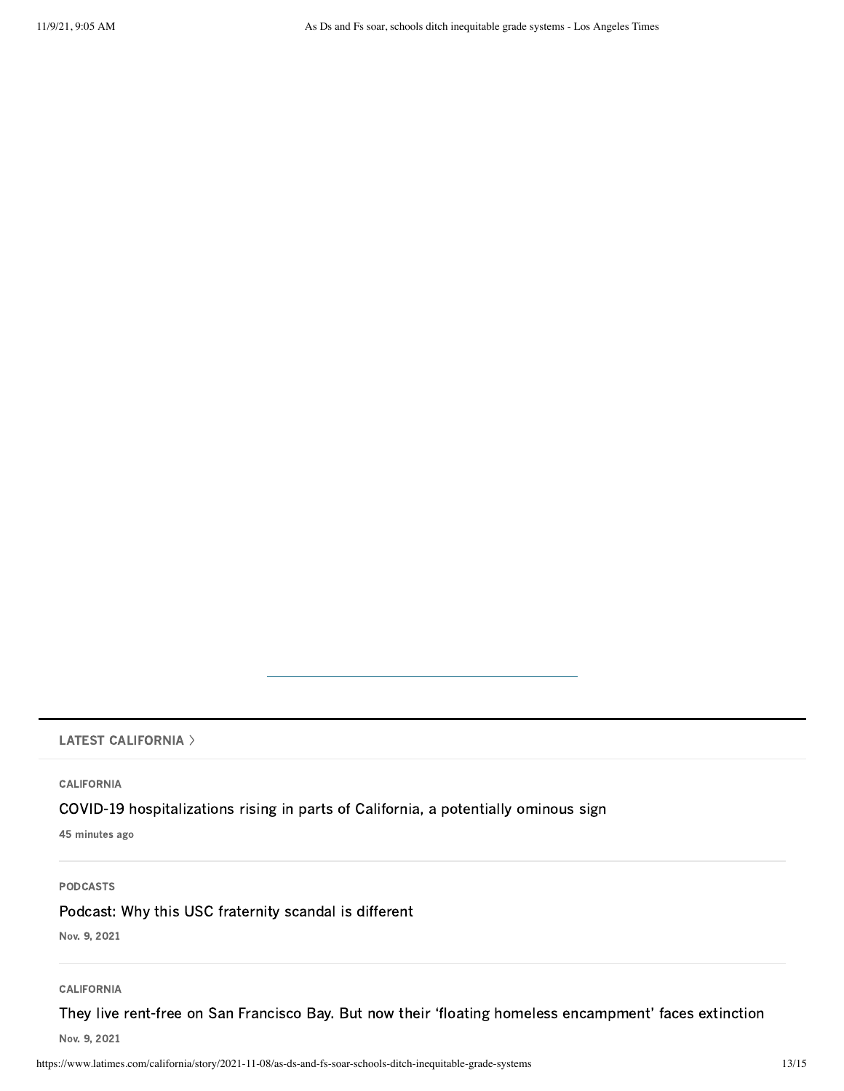## LATEST [CALIFORNIA](https://www.latimes.com/california) >

# [CALIFORNIA](https://www.latimes.com/california)

# COVID-19 [hospitalizations rising](https://www.latimes.com/california/story/2021-11-09/covid-19-hospitalizations-rising-in-parts-of-california-a-potentially-ominous-sign) in parts of California, a potentially ominous sign

45 minutes ago

# [PODCASTS](https://www.latimes.com/podcasts)

# Podcast: Why this USC fraternity scandal [is different](https://www.latimes.com/podcasts/story/2021-11-09/the-times-podcast-usc-scandal-fraternities)

Nov. 9, 2021

#### [CALIFORNIA](https://www.latimes.com/california)

# They live rent-free on San Francisco Bay. But now their 'floating [homeless encampment'](https://www.latimes.com/california/story/2021-11-09/they-live-rent-free-on-san-francisco-bay-but-now-their-floating-homeless-encampment-faces-extinction) faces extinction

Nov. 9, 2021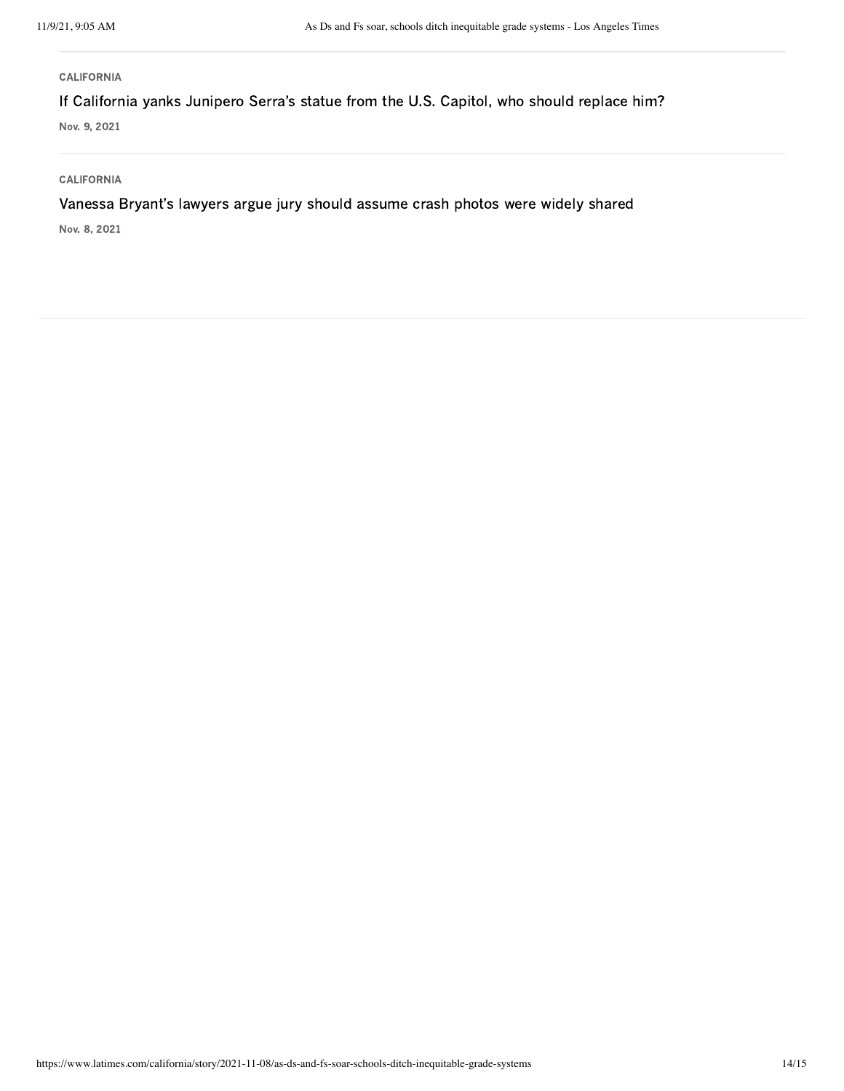#### [CALIFORNIA](https://www.latimes.com/california)

# If California [yanks Junipero](https://www.latimes.com/california/story/2021-11-09/who-is-statuesque-enough-to-represent-california-at-the-u-s-capitol) Serra's statue from the U.S. Capitol, who should replace him?

Nov. 9, 2021

## [CALIFORNIA](https://www.latimes.com/california)

Vanessa [Bryant's lawyers argue](https://www.latimes.com/california/story/2021-11-08/vanessa-bryants-lawyers-argue-jury-should-assume-crash-photos-were-widely-shared) jury should assume crash photos were widely shared

Nov. 8, 2021